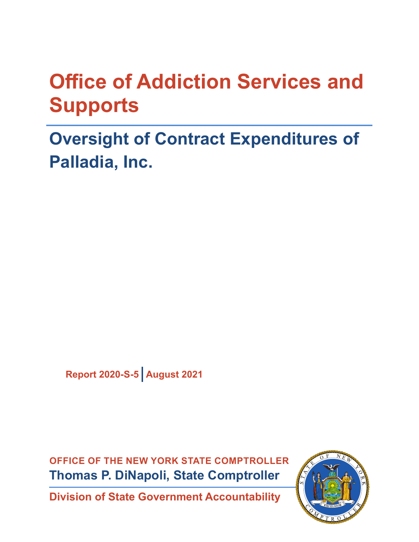# **Office of Addiction Services and Supports**

# **Oversight of Contract Expenditures of Palladia, Inc.**

**Report 2020-S-5 August 2021**

**OFFICE OF THE NEW YORK STATE COMPTROLLER Thomas P. DiNapoli, State Comptroller**

**Division of State Government Accountability**

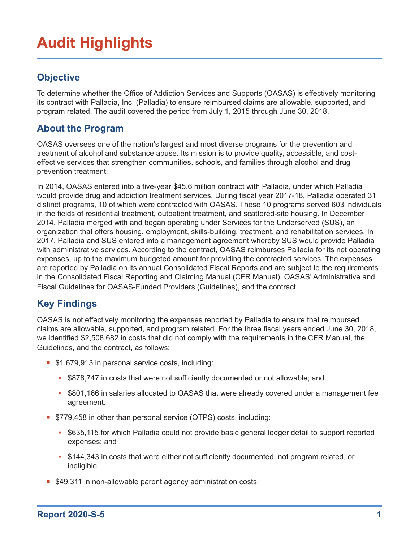# **Audit Highlights**

#### **Objective**

To determine whether the Office of Addiction Services and Supports (OASAS) is effectively monitoring its contract with Palladia, Inc. (Palladia) to ensure reimbursed claims are allowable, supported, and program related. The audit covered the period from July 1, 2015 through June 30, 2018.

#### **About the Program**

OASAS oversees one of the nation's largest and most diverse programs for the prevention and treatment of alcohol and substance abuse. Its mission is to provide quality, accessible, and costeffective services that strengthen communities, schools, and families through alcohol and drug prevention treatment.

In 2014, OASAS entered into a five-year \$45.6 million contract with Palladia, under which Palladia would provide drug and addiction treatment services. During fiscal year 2017-18, Palladia operated 31 distinct programs, 10 of which were contracted with OASAS. These 10 programs served 603 individuals in the fields of residential treatment, outpatient treatment, and scattered-site housing. In December 2014, Palladia merged with and began operating under Services for the Underserved (SUS), an organization that offers housing, employment, skills-building, treatment, and rehabilitation services. In 2017, Palladia and SUS entered into a management agreement whereby SUS would provide Palladia with administrative services. According to the contract, OASAS reimburses Palladia for its net operating expenses, up to the maximum budgeted amount for providing the contracted services. The expenses are reported by Palladia on its annual Consolidated Fiscal Reports and are subject to the requirements in the Consolidated Fiscal Reporting and Claiming Manual (CFR Manual), OASAS' Administrative and Fiscal Guidelines for OASAS-Funded Providers (Guidelines), and the contract.

#### **Key Findings**

OASAS is not effectively monitoring the expenses reported by Palladia to ensure that reimbursed claims are allowable, supported, and program related. For the three fiscal years ended June 30, 2018, we identified \$2,508,682 in costs that did not comply with the requirements in the CFR Manual, the Guidelines, and the contract, as follows:

- \$1,679,913 in personal service costs, including:
	- \$878,747 in costs that were not sufficiently documented or not allowable; and
	- \$801,166 in salaries allocated to OASAS that were already covered under a management fee agreement.
- **5779,458 in other than personal service (OTPS) costs, including:** 
	- \$635,115 for which Palladia could not provide basic general ledger detail to support reported expenses; and
	- \$144,343 in costs that were either not sufficiently documented, not program related, or ineligible.
- \$49,311 in non-allowable parent agency administration costs.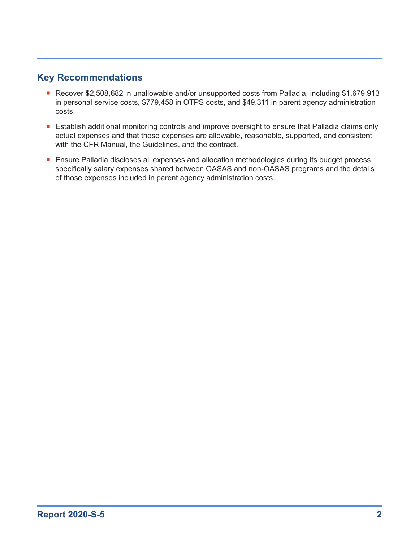#### **Key Recommendations**

- Recover \$2,508,682 in unallowable and/or unsupported costs from Palladia, including \$1,679,913 in personal service costs, \$779,458 in OTPS costs, and \$49,311 in parent agency administration costs.
- **E** Establish additional monitoring controls and improve oversight to ensure that Palladia claims only actual expenses and that those expenses are allowable, reasonable, supported, and consistent with the CFR Manual, the Guidelines, and the contract.
- **E** Ensure Palladia discloses all expenses and allocation methodologies during its budget process, specifically salary expenses shared between OASAS and non-OASAS programs and the details of those expenses included in parent agency administration costs.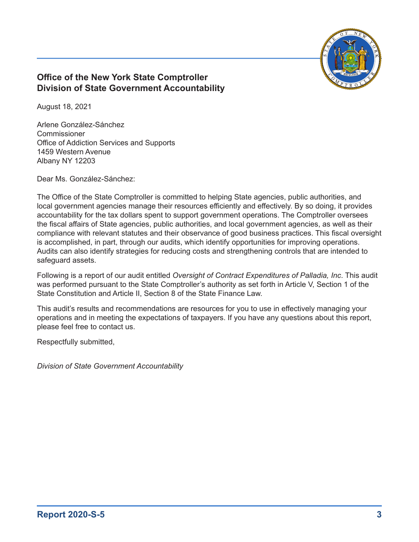

#### **Office of the New York State Comptroller Division of State Government Accountability**

August 18, 2021

Arlene González-Sánchez Commissioner Office of Addiction Services and Supports 1459 Western Avenue Albany NY 12203

Dear Ms. González-Sánchez:

The Office of the State Comptroller is committed to helping State agencies, public authorities, and local government agencies manage their resources efficiently and effectively. By so doing, it provides accountability for the tax dollars spent to support government operations. The Comptroller oversees the fiscal affairs of State agencies, public authorities, and local government agencies, as well as their compliance with relevant statutes and their observance of good business practices. This fiscal oversight is accomplished, in part, through our audits, which identify opportunities for improving operations. Audits can also identify strategies for reducing costs and strengthening controls that are intended to safeguard assets.

Following is a report of our audit entitled *Oversight of Contract Expenditures of Palladia, Inc*. This audit was performed pursuant to the State Comptroller's authority as set forth in Article V, Section 1 of the State Constitution and Article II, Section 8 of the State Finance Law.

This audit's results and recommendations are resources for you to use in effectively managing your operations and in meeting the expectations of taxpayers. If you have any questions about this report, please feel free to contact us.

Respectfully submitted,

*Division of State Government Accountability*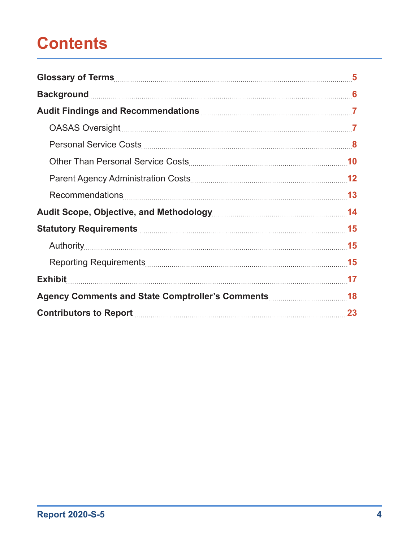# **Contents**

| <b>Exhibit</b> |  |
|----------------|--|
|                |  |
|                |  |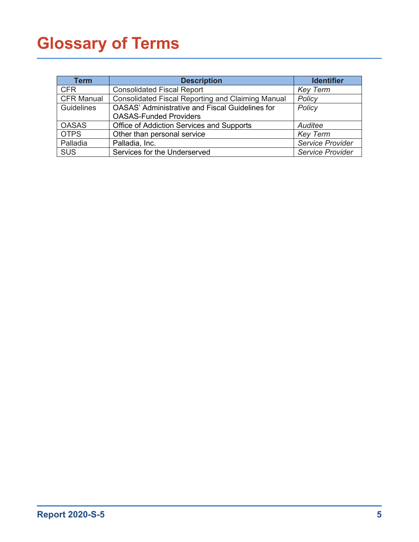# <span id="page-5-0"></span>**Glossary of Terms**

| <b>Term</b>       | <b>Description</b>                                                                      | <b>Identifier</b>       |
|-------------------|-----------------------------------------------------------------------------------------|-------------------------|
| <b>CFR</b>        | <b>Consolidated Fiscal Report</b>                                                       | <b>Key Term</b>         |
| <b>CFR Manual</b> | Consolidated Fiscal Reporting and Claiming Manual                                       | Policy                  |
| Guidelines        | <b>OASAS' Administrative and Fiscal Guidelines for</b><br><b>OASAS-Funded Providers</b> | Policy                  |
| <b>OASAS</b>      | <b>Office of Addiction Services and Supports</b>                                        | Auditee                 |
| <b>OTPS</b>       | Other than personal service                                                             | <b>Key Term</b>         |
| Palladia          | Palladia, Inc.                                                                          | Service Provider        |
| <b>SUS</b>        | Services for the Underserved                                                            | <b>Service Provider</b> |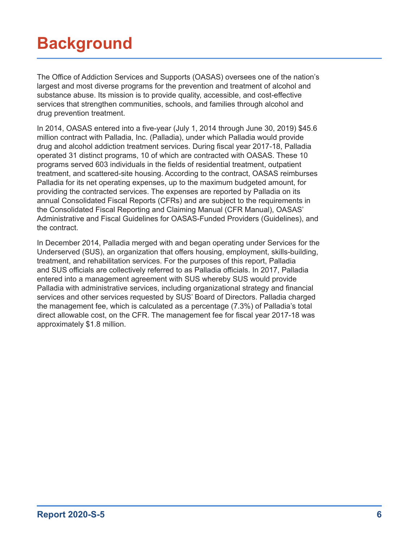# <span id="page-6-0"></span>**Background**

The Office of Addiction Services and Supports (OASAS) oversees one of the nation's largest and most diverse programs for the prevention and treatment of alcohol and substance abuse. Its mission is to provide quality, accessible, and cost-effective services that strengthen communities, schools, and families through alcohol and drug prevention treatment.

In 2014, OASAS entered into a five-year (July 1, 2014 through June 30, 2019) \$45.6 million contract with Palladia, Inc. (Palladia), under which Palladia would provide drug and alcohol addiction treatment services. During fiscal year 2017-18, Palladia operated 31 distinct programs, 10 of which are contracted with OASAS. These 10 programs served 603 individuals in the fields of residential treatment, outpatient treatment, and scattered-site housing. According to the contract, OASAS reimburses Palladia for its net operating expenses, up to the maximum budgeted amount, for providing the contracted services. The expenses are reported by Palladia on its annual Consolidated Fiscal Reports (CFRs) and are subject to the requirements in the Consolidated Fiscal Reporting and Claiming Manual (CFR Manual), OASAS' Administrative and Fiscal Guidelines for OASAS-Funded Providers (Guidelines), and the contract.

In December 2014, Palladia merged with and began operating under Services for the Underserved (SUS), an organization that offers housing, employment, skills-building, treatment, and rehabilitation services. For the purposes of this report, Palladia and SUS officials are collectively referred to as Palladia officials. In 2017, Palladia entered into a management agreement with SUS whereby SUS would provide Palladia with administrative services, including organizational strategy and financial services and other services requested by SUS' Board of Directors. Palladia charged the management fee, which is calculated as a percentage (7.3%) of Palladia's total direct allowable cost, on the CFR. The management fee for fiscal year 2017-18 was approximately \$1.8 million.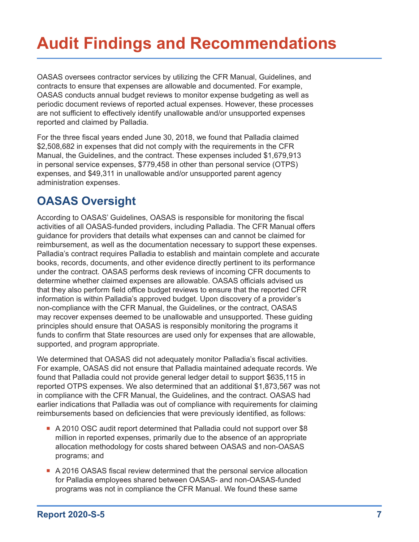# <span id="page-7-0"></span>**Audit Findings and Recommendations**

OASAS oversees contractor services by utilizing the CFR Manual, Guidelines, and contracts to ensure that expenses are allowable and documented. For example, OASAS conducts annual budget reviews to monitor expense budgeting as well as periodic document reviews of reported actual expenses. However, these processes are not sufficient to effectively identify unallowable and/or unsupported expenses reported and claimed by Palladia.

For the three fiscal years ended June 30, 2018, we found that Palladia claimed \$2,508,682 in expenses that did not comply with the requirements in the CFR Manual, the Guidelines, and the contract. These expenses included \$1,679,913 in personal service expenses, \$779,458 in other than personal service (OTPS) expenses, and \$49,311 in unallowable and/or unsupported parent agency administration expenses.

## **OASAS Oversight**

According to OASAS' Guidelines, OASAS is responsible for monitoring the fiscal activities of all OASAS-funded providers, including Palladia. The CFR Manual offers guidance for providers that details what expenses can and cannot be claimed for reimbursement, as well as the documentation necessary to support these expenses. Palladia's contract requires Palladia to establish and maintain complete and accurate books, records, documents, and other evidence directly pertinent to its performance under the contract. OASAS performs desk reviews of incoming CFR documents to determine whether claimed expenses are allowable. OASAS officials advised us that they also perform field office budget reviews to ensure that the reported CFR information is within Palladia's approved budget. Upon discovery of a provider's non-compliance with the CFR Manual, the Guidelines, or the contract, OASAS may recover expenses deemed to be unallowable and unsupported. These guiding principles should ensure that OASAS is responsibly monitoring the programs it funds to confirm that State resources are used only for expenses that are allowable, supported, and program appropriate.

We determined that OASAS did not adequately monitor Palladia's fiscal activities. For example, OASAS did not ensure that Palladia maintained adequate records. We found that Palladia could not provide general ledger detail to support \$635,115 in reported OTPS expenses. We also determined that an additional \$1,873,567 was not in compliance with the CFR Manual, the Guidelines, and the contract. OASAS had earlier indications that Palladia was out of compliance with requirements for claiming reimbursements based on deficiencies that were previously identified, as follows:

- A 2010 OSC audit report determined that Palladia could not support over \$8 million in reported expenses, primarily due to the absence of an appropriate allocation methodology for costs shared between OASAS and non-OASAS programs; and
- A 2016 OASAS fiscal review determined that the personal service allocation for Palladia employees shared between OASAS- and non-OASAS-funded programs was not in compliance the CFR Manual. We found these same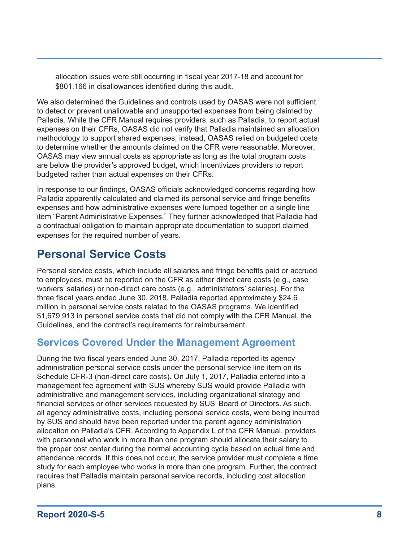<span id="page-8-0"></span>allocation issues were still occurring in fiscal year 2017-18 and account for \$801,166 in disallowances identified during this audit.

We also determined the Guidelines and controls used by OASAS were not sufficient to detect or prevent unallowable and unsupported expenses from being claimed by Palladia. While the CFR Manual requires providers, such as Palladia, to report actual expenses on their CFRs, OASAS did not verify that Palladia maintained an allocation methodology to support shared expenses; instead, OASAS relied on budgeted costs to determine whether the amounts claimed on the CFR were reasonable. Moreover, OASAS may view annual costs as appropriate as long as the total program costs are below the provider's approved budget, which incentivizes providers to report budgeted rather than actual expenses on their CFRs.

In response to our findings, OASAS officials acknowledged concerns regarding how Palladia apparently calculated and claimed its personal service and fringe benefits expenses and how administrative expenses were lumped together on a single line item "Parent Administrative Expenses." They further acknowledged that Palladia had a contractual obligation to maintain appropriate documentation to support claimed expenses for the required number of years.

### **Personal Service Costs**

Personal service costs, which include all salaries and fringe benefits paid or accrued to employees, must be reported on the CFR as either direct care costs (e.g., case workers' salaries) or non-direct care costs (e.g., administrators' salaries). For the three fiscal years ended June 30, 2018, Palladia reported approximately \$24.6 million in personal service costs related to the OASAS programs. We identified \$1,679,913 in personal service costs that did not comply with the CFR Manual, the Guidelines, and the contract's requirements for reimbursement.

### **Services Covered Under the Management Agreement**

During the two fiscal years ended June 30, 2017, Palladia reported its agency administration personal service costs under the personal service line item on its Schedule CFR-3 (non-direct care costs). On July 1, 2017, Palladia entered into a management fee agreement with SUS whereby SUS would provide Palladia with administrative and management services, including organizational strategy and financial services or other services requested by SUS' Board of Directors. As such, all agency administrative costs, including personal service costs, were being incurred by SUS and should have been reported under the parent agency administration allocation on Palladia's CFR. According to Appendix L of the CFR Manual, providers with personnel who work in more than one program should allocate their salary to the proper cost center during the normal accounting cycle based on actual time and attendance records. If this does not occur, the service provider must complete a time study for each employee who works in more than one program. Further, the contract requires that Palladia maintain personal service records, including cost allocation plans.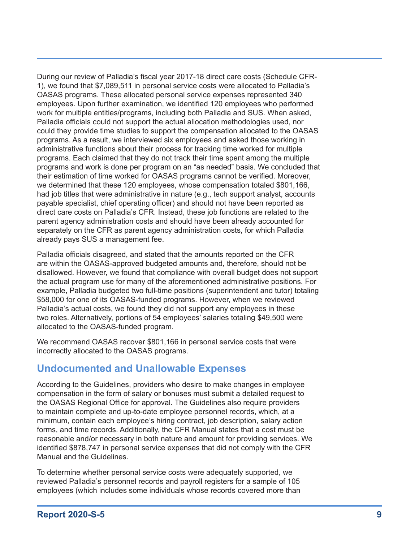During our review of Palladia's fiscal year 2017-18 direct care costs (Schedule CFR-1), we found that \$7,089,511 in personal service costs were allocated to Palladia's OASAS programs. These allocated personal service expenses represented 340 employees. Upon further examination, we identified 120 employees who performed work for multiple entities/programs, including both Palladia and SUS. When asked, Palladia officials could not support the actual allocation methodologies used, nor could they provide time studies to support the compensation allocated to the OASAS programs. As a result, we interviewed six employees and asked those working in administrative functions about their process for tracking time worked for multiple programs. Each claimed that they do not track their time spent among the multiple programs and work is done per program on an "as needed" basis. We concluded that their estimation of time worked for OASAS programs cannot be verified. Moreover, we determined that these 120 employees, whose compensation totaled \$801,166, had job titles that were administrative in nature (e.g., tech support analyst, accounts payable specialist, chief operating officer) and should not have been reported as direct care costs on Palladia's CFR. Instead, these job functions are related to the parent agency administration costs and should have been already accounted for separately on the CFR as parent agency administration costs, for which Palladia already pays SUS a management fee.

Palladia officials disagreed, and stated that the amounts reported on the CFR are within the OASAS-approved budgeted amounts and, therefore, should not be disallowed. However, we found that compliance with overall budget does not support the actual program use for many of the aforementioned administrative positions. For example, Palladia budgeted two full-time positions (superintendent and tutor) totaling \$58,000 for one of its OASAS-funded programs. However, when we reviewed Palladia's actual costs, we found they did not support any employees in these two roles. Alternatively, portions of 54 employees' salaries totaling \$49,500 were allocated to the OASAS-funded program.

We recommend OASAS recover \$801,166 in personal service costs that were incorrectly allocated to the OASAS programs.

#### **Undocumented and Unallowable Expenses**

According to the Guidelines, providers who desire to make changes in employee compensation in the form of salary or bonuses must submit a detailed request to the OASAS Regional Office for approval. The Guidelines also require providers to maintain complete and up-to-date employee personnel records, which, at a minimum, contain each employee's hiring contract, job description, salary action forms, and time records. Additionally, the CFR Manual states that a cost must be reasonable and/or necessary in both nature and amount for providing services. We identified \$878,747 in personal service expenses that did not comply with the CFR Manual and the Guidelines.

To determine whether personal service costs were adequately supported, we reviewed Palladia's personnel records and payroll registers for a sample of 105 employees (which includes some individuals whose records covered more than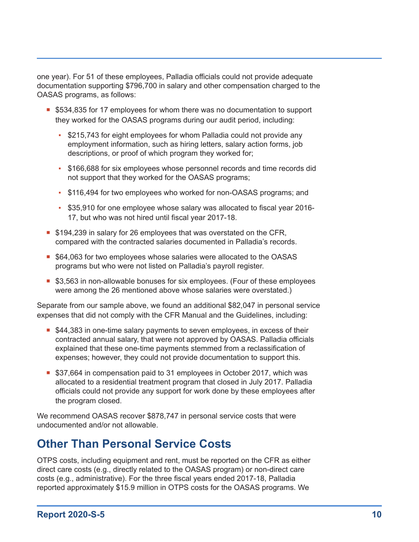<span id="page-10-0"></span>one year). For 51 of these employees, Palladia officials could not provide adequate documentation supporting \$796,700 in salary and other compensation charged to the OASAS programs, as follows:

- **5534,835 for 17 employees for whom there was no documentation to support** they worked for the OASAS programs during our audit period, including:
	- \$215,743 for eight employees for whom Palladia could not provide any employment information, such as hiring letters, salary action forms, job descriptions, or proof of which program they worked for;
	- \$166,688 for six employees whose personnel records and time records did not support that they worked for the OASAS programs;
	- \$116,494 for two employees who worked for non-OASAS programs; and
	- \$35,910 for one employee whose salary was allocated to fiscal year 2016- 17, but who was not hired until fiscal year 2017-18.
- **S** 194,239 in salary for 26 employees that was overstated on the CFR, compared with the contracted salaries documented in Palladia's records.
- \$64,063 for two employees whose salaries were allocated to the OASAS programs but who were not listed on Palladia's payroll register.
- **53,563 in non-allowable bonuses for six employees. (Four of these employees** were among the 26 mentioned above whose salaries were overstated.)

Separate from our sample above, we found an additional \$82,047 in personal service expenses that did not comply with the CFR Manual and the Guidelines, including:

- **544,383 in one-time salary payments to seven employees, in excess of their** contracted annual salary, that were not approved by OASAS. Palladia officials explained that these one-time payments stemmed from a reclassification of expenses; however, they could not provide documentation to support this.
- \$37,664 in compensation paid to 31 employees in October 2017, which was allocated to a residential treatment program that closed in July 2017. Palladia officials could not provide any support for work done by these employees after the program closed.

We recommend OASAS recover \$878,747 in personal service costs that were undocumented and/or not allowable.

### **Other Than Personal Service Costs**

OTPS costs, including equipment and rent, must be reported on the CFR as either direct care costs (e.g., directly related to the OASAS program) or non-direct care costs (e.g., administrative). For the three fiscal years ended 2017-18, Palladia reported approximately \$15.9 million in OTPS costs for the OASAS programs. We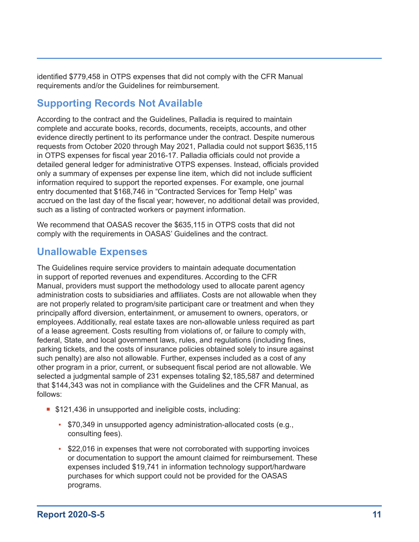identified \$779,458 in OTPS expenses that did not comply with the CFR Manual requirements and/or the Guidelines for reimbursement.

### **Supporting Records Not Available**

According to the contract and the Guidelines, Palladia is required to maintain complete and accurate books, records, documents, receipts, accounts, and other evidence directly pertinent to its performance under the contract. Despite numerous requests from October 2020 through May 2021, Palladia could not support \$635,115 in OTPS expenses for fiscal year 2016-17. Palladia officials could not provide a detailed general ledger for administrative OTPS expenses. Instead, officials provided only a summary of expenses per expense line item, which did not include sufficient information required to support the reported expenses. For example, one journal entry documented that \$168,746 in "Contracted Services for Temp Help" was accrued on the last day of the fiscal year; however, no additional detail was provided, such as a listing of contracted workers or payment information.

We recommend that OASAS recover the \$635,115 in OTPS costs that did not comply with the requirements in OASAS' Guidelines and the contract.

### **Unallowable Expenses**

The Guidelines require service providers to maintain adequate documentation in support of reported revenues and expenditures. According to the CFR Manual, providers must support the methodology used to allocate parent agency administration costs to subsidiaries and affiliates. Costs are not allowable when they are not properly related to program/site participant care or treatment and when they principally afford diversion, entertainment, or amusement to owners, operators, or employees. Additionally, real estate taxes are non-allowable unless required as part of a lease agreement. Costs resulting from violations of, or failure to comply with, federal, State, and local government laws, rules, and regulations (including fines, parking tickets, and the costs of insurance policies obtained solely to insure against such penalty) are also not allowable. Further, expenses included as a cost of any other program in a prior, current, or subsequent fiscal period are not allowable. We selected a judgmental sample of 231 expenses totaling \$2,185,587 and determined that \$144,343 was not in compliance with the Guidelines and the CFR Manual, as follows:

- **5121,436 in unsupported and ineligible costs, including:** 
	- \$70,349 in unsupported agency administration-allocated costs (e.g., consulting fees).
	- \$22,016 in expenses that were not corroborated with supporting invoices or documentation to support the amount claimed for reimbursement. These expenses included \$19,741 in information technology support/hardware purchases for which support could not be provided for the OASAS programs.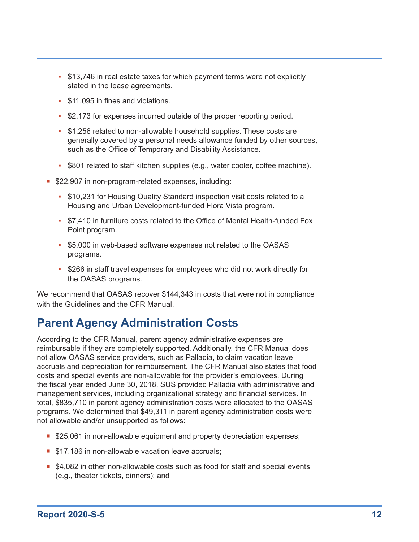- <span id="page-12-0"></span>• \$13,746 in real estate taxes for which payment terms were not explicitly stated in the lease agreements.
- \$11,095 in fines and violations.
- \$2,173 for expenses incurred outside of the proper reporting period.
- \$1,256 related to non-allowable household supplies. These costs are generally covered by a personal needs allowance funded by other sources, such as the Office of Temporary and Disability Assistance.
- \$801 related to staff kitchen supplies (e.g., water cooler, coffee machine).
- **522,907 in non-program-related expenses, including:** 
	- \$10,231 for Housing Quality Standard inspection visit costs related to a Housing and Urban Development-funded Flora Vista program.
	- \$7,410 in furniture costs related to the Office of Mental Health-funded Fox Point program.
	- \$5,000 in web-based software expenses not related to the OASAS programs.
	- \$266 in staff travel expenses for employees who did not work directly for the OASAS programs.

We recommend that OASAS recover \$144,343 in costs that were not in compliance with the Guidelines and the CFR Manual.

### **Parent Agency Administration Costs**

According to the CFR Manual, parent agency administrative expenses are reimbursable if they are completely supported. Additionally, the CFR Manual does not allow OASAS service providers, such as Palladia, to claim vacation leave accruals and depreciation for reimbursement. The CFR Manual also states that food costs and special events are non-allowable for the provider's employees. During the fiscal year ended June 30, 2018, SUS provided Palladia with administrative and management services, including organizational strategy and financial services. In total, \$835,710 in parent agency administration costs were allocated to the OASAS programs. We determined that \$49,311 in parent agency administration costs were not allowable and/or unsupported as follows:

- **S25,061 in non-allowable equipment and property depreciation expenses;**
- **517,186 in non-allowable vacation leave accruals;**
- \$4,082 in other non-allowable costs such as food for staff and special events (e.g., theater tickets, dinners); and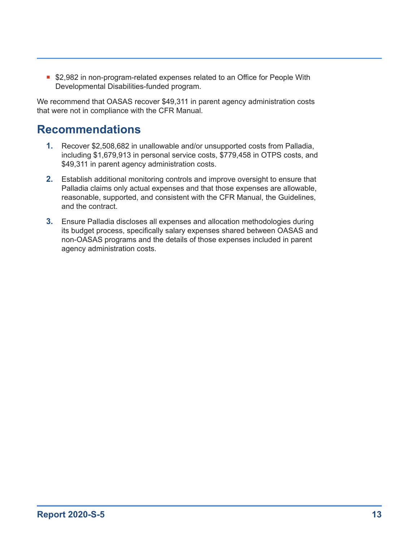<span id="page-13-0"></span>**52,982 in non-program-related expenses related to an Office for People With** Developmental Disabilities-funded program.

We recommend that OASAS recover \$49,311 in parent agency administration costs that were not in compliance with the CFR Manual.

### **Recommendations**

- **1.** Recover \$2,508,682 in unallowable and/or unsupported costs from Palladia, including \$1,679,913 in personal service costs, \$779,458 in OTPS costs, and \$49,311 in parent agency administration costs.
- **2.** Establish additional monitoring controls and improve oversight to ensure that Palladia claims only actual expenses and that those expenses are allowable, reasonable, supported, and consistent with the CFR Manual, the Guidelines, and the contract.
- **3.** Ensure Palladia discloses all expenses and allocation methodologies during its budget process, specifically salary expenses shared between OASAS and non-OASAS programs and the details of those expenses included in parent agency administration costs.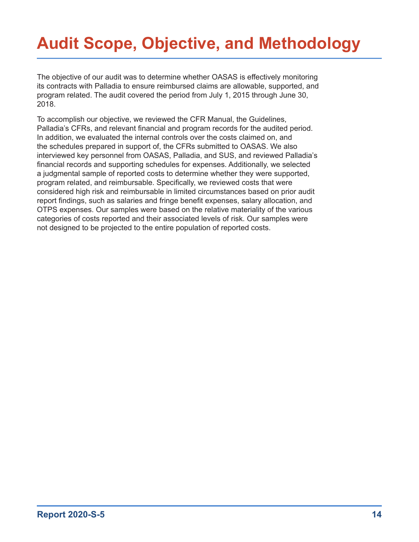# <span id="page-14-0"></span>**Audit Scope, Objective, and Methodology**

The objective of our audit was to determine whether OASAS is effectively monitoring its contracts with Palladia to ensure reimbursed claims are allowable, supported, and program related. The audit covered the period from July 1, 2015 through June 30, 2018.

To accomplish our objective, we reviewed the CFR Manual, the Guidelines, Palladia's CFRs, and relevant financial and program records for the audited period. In addition, we evaluated the internal controls over the costs claimed on, and the schedules prepared in support of, the CFRs submitted to OASAS. We also interviewed key personnel from OASAS, Palladia, and SUS, and reviewed Palladia's financial records and supporting schedules for expenses. Additionally, we selected a judgmental sample of reported costs to determine whether they were supported, program related, and reimbursable. Specifically, we reviewed costs that were considered high risk and reimbursable in limited circumstances based on prior audit report findings, such as salaries and fringe benefit expenses, salary allocation, and OTPS expenses. Our samples were based on the relative materiality of the various categories of costs reported and their associated levels of risk. Our samples were not designed to be projected to the entire population of reported costs.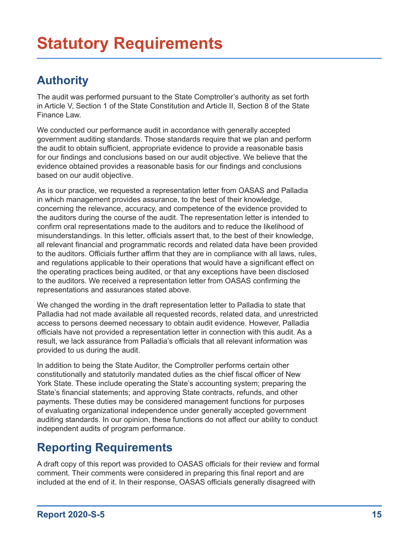## <span id="page-15-0"></span>**Authority**

The audit was performed pursuant to the State Comptroller's authority as set forth in Article V, Section 1 of the State Constitution and Article II, Section 8 of the State Finance Law.

We conducted our performance audit in accordance with generally accepted government auditing standards. Those standards require that we plan and perform the audit to obtain sufficient, appropriate evidence to provide a reasonable basis for our findings and conclusions based on our audit objective. We believe that the evidence obtained provides a reasonable basis for our findings and conclusions based on our audit objective.

As is our practice, we requested a representation letter from OASAS and Palladia in which management provides assurance, to the best of their knowledge, concerning the relevance, accuracy, and competence of the evidence provided to the auditors during the course of the audit. The representation letter is intended to confirm oral representations made to the auditors and to reduce the likelihood of misunderstandings. In this letter, officials assert that, to the best of their knowledge, all relevant financial and programmatic records and related data have been provided to the auditors. Officials further affirm that they are in compliance with all laws, rules, and regulations applicable to their operations that would have a significant effect on the operating practices being audited, or that any exceptions have been disclosed to the auditors. We received a representation letter from OASAS confirming the representations and assurances stated above.

We changed the wording in the draft representation letter to Palladia to state that Palladia had not made available all requested records, related data, and unrestricted access to persons deemed necessary to obtain audit evidence. However, Palladia officials have not provided a representation letter in connection with this audit. As a result, we lack assurance from Palladia's officials that all relevant information was provided to us during the audit.

In addition to being the State Auditor, the Comptroller performs certain other constitutionally and statutorily mandated duties as the chief fiscal officer of New York State. These include operating the State's accounting system; preparing the State's financial statements; and approving State contracts, refunds, and other payments. These duties may be considered management functions for purposes of evaluating organizational independence under generally accepted government auditing standards. In our opinion, these functions do not affect our ability to conduct independent audits of program performance.

## **Reporting Requirements**

A draft copy of this report was provided to OASAS officials for their review and formal comment. Their comments were considered in preparing this final report and are included at the end of it. In their response, OASAS officials generally disagreed with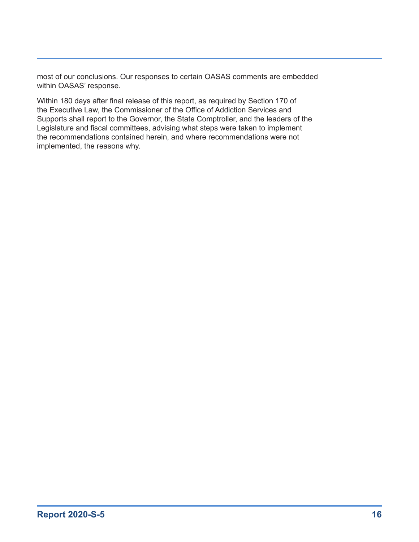most of our conclusions. Our responses to certain OASAS comments are embedded within OASAS' response.

Within 180 days after final release of this report, as required by Section 170 of the Executive Law, the Commissioner of the Office of Addiction Services and Supports shall report to the Governor, the State Comptroller, and the leaders of the Legislature and fiscal committees, advising what steps were taken to implement the recommendations contained herein, and where recommendations were not implemented, the reasons why.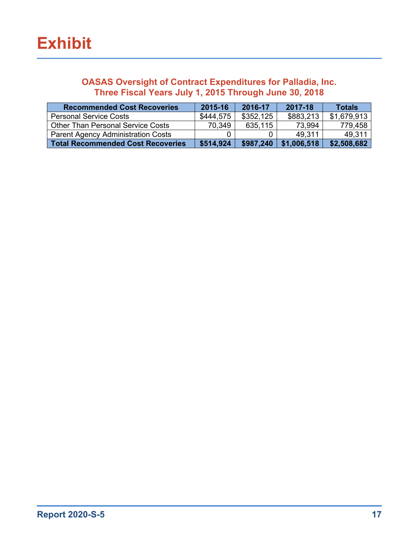#### <span id="page-17-0"></span>**OASAS Oversight of Contract Expenditures for Palladia, Inc. Three Fiscal Years July 1, 2015 Through June 30, 2018**

| <b>Recommended Cost Recoveries</b>        | 2015-16   | 2016-17   | 2017-18     | <b>Totals</b> |
|-------------------------------------------|-----------|-----------|-------------|---------------|
| <b>Personal Service Costs</b>             | \$444,575 | \$352,125 | \$883,213   | \$1,679,913   |
| <b>Other Than Personal Service Costs</b>  | 70.349    | 635,115   | 73,994      | 779,458       |
| <b>Parent Agency Administration Costs</b> |           |           | 49,311      | 49,311        |
| <b>Total Recommended Cost Recoveries</b>  | \$514,924 | \$987,240 | \$1,006,518 | \$2,508,682   |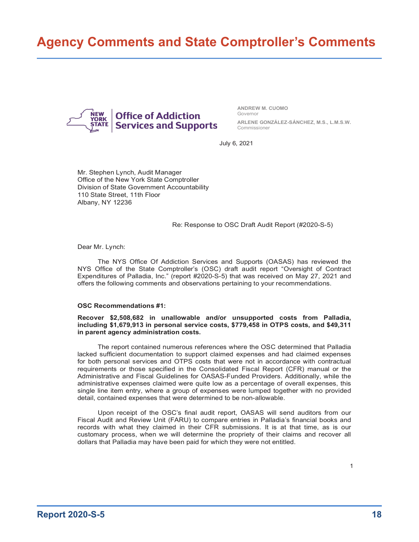## <span id="page-18-0"></span>**Agency Comments and State Comptroller's Comments**



**ANDREW M. CUOMO** Governor **ARLENE GONZÁLEZ-SÁNCHEZ, M.S., L.M.S.W.**

Commissioner July 6, 2021

Mr. Stephen Lynch, Audit Manager Office of the New York State Comptroller Division of State Government Accountability 110 State Street, 11th Floor Albany, NY 12236

#### Re: Response to OSC Draft Audit Report (#2020-S-5)

Dear Mr. Lynch:

The NYS Office Of Addiction Services and Supports (OASAS) has reviewed the NYS Office of the State Comptroller's (OSC) draft audit report "Oversight of Contract Expenditures of Palladia, Inc." (report #2020-S-5) that was received on May 27, 2021 and offers the following comments and observations pertaining to your recommendations.

#### **OSC Recommendations #1:**

**Recover \$2,508,682 in unallowable and/or unsupported costs from Palladia, including \$1,679,913 in personal service costs, \$779,458 in OTPS costs, and \$49,311 in parent agency administration costs.**

The report contained numerous references where the OSC determined that Palladia lacked sufficient documentation to support claimed expenses and had claimed expenses for both personal services and OTPS costs that were not in accordance with contractual requirements or those specified in the Consolidated Fiscal Report (CFR) manual or the Administrative and Fiscal Guidelines for OASAS-Funded Providers. Additionally, while the administrative expenses claimed were quite low as a percentage of overall expenses, this single line item entry, where a group of expenses were lumped together with no provided detail, contained expenses that were determined to be non-allowable.

Upon receipt of the OSC's final audit report, OASAS will send auditors from our Fiscal Audit and Review Unit (FARU) to compare entries in Palladia's financial books and records with what they claimed in their CFR submissions. It is at that time, as is our customary process, when we will determine the propriety of their claims and recover all dollars that Palladia may have been paid for which they were not entitled.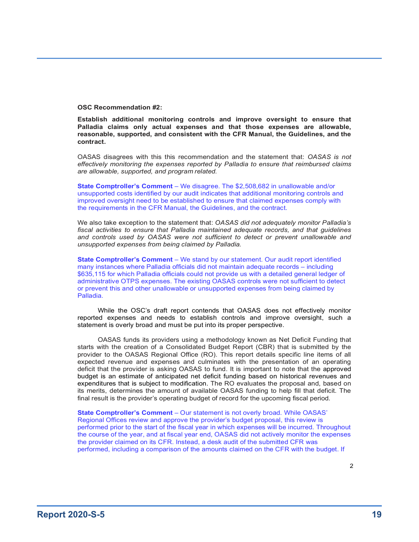**OSC Recommendation #2:**

**Establish additional monitoring controls and improve oversight to ensure that Palladia claims only actual expenses and that those expenses are allowable, reasonable, supported, and consistent with the CFR Manual, the Guidelines, and the contract.**

OASAS disagrees with this this recommendation and the statement that: *OASAS is not effectively monitoring the expenses reported by Palladia to ensure that reimbursed claims are allowable, supported, and program related.*

**State Comptroller's Comment** – We disagree. The \$2,508,682 in unallowable and/or unsupported costs identified by our audit indicates that additional monitoring controls and improved oversight need to be established to ensure that claimed expenses comply with the requirements in the CFR Manual, the Guidelines, and the contract.

We also take exception to the statement that: *OASAS did not adequately monitor Palladia's fiscal activities to ensure that Palladia maintained adequate records, and that guidelines and controls used by OASAS were not sufficient to detect or prevent unallowable and unsupported expenses from being claimed by Palladia.*

**State Comptroller's Comment** – We stand by our statement. Our audit report identified many instances where Palladia officials did not maintain adequate records – including \$635,115 for which Palladia officials could not provide us with a detailed general ledger of administrative OTPS expenses. The existing OASAS controls were not sufficient to detect or prevent this and other unallowable or unsupported expenses from being claimed by Palladia.

While the OSC's draft report contends that OASAS does not effectively monitor reported expenses and needs to establish controls and improve oversight, such a statement is overly broad and must be put into its proper perspective.

OASAS funds its providers using a methodology known as Net Deficit Funding that starts with the creation of a Consolidated Budget Report (CBR) that is submitted by the provider to the OASAS Regional Office (RO). This report details specific line items of all expected revenue and expenses and culminates with the presentation of an operating deficit that the provider is asking OASAS to fund. It is important to note that the approved budget is an estimate of anticipated net deficit funding based on historical revenues and expenditures that is subject to modification. The RO evaluates the proposal and, based on its merits, determines the amount of available OASAS funding to help fill that deficit. The final result is the provider's operating budget of record for the upcoming fiscal period.

**State Comptroller's Comment** – Our statement is not overly broad. While OASAS' Regional Offices review and approve the provider's budget proposal, this review is performed prior to the start of the fiscal year in which expenses will be incurred. Throughout the course of the year, and at fiscal year end, OASAS did not actively monitor the expenses the provider claimed on its CFR. Instead, a desk audit of the submitted CFR was performed, including a comparison of the amounts claimed on the CFR with the budget. If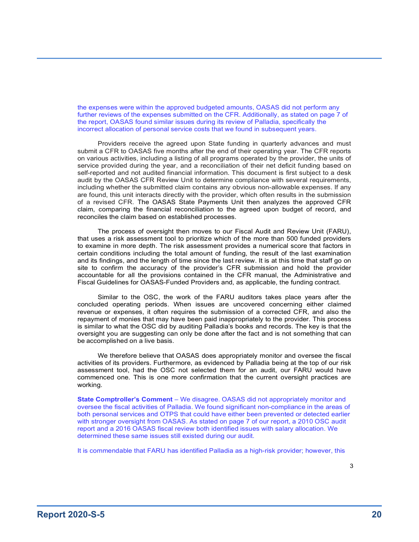the expenses were within the approved budgeted amounts, OASAS did not perform any further reviews of the expenses submitted on the CFR. Additionally, as stated on page 7 of the report, OASAS found similar issues during its review of Palladia, specifically the incorrect allocation of personal service costs that we found in subsequent years.

Providers receive the agreed upon State funding in quarterly advances and must submit a CFR to OASAS five months after the end of their operating year. The CFR reports on various activities, including a listing of all programs operated by the provider, the units of service provided during the year, and a reconciliation of their net deficit funding based on self-reported and not audited financial information. This document is first subject to a desk audit by the OASAS CFR Review Unit to determine compliance with several requirements, including whether the submitted claim contains any obvious non-allowable expenses. If any are found, this unit interacts directly with the provider, which often results in the submission of a revised CFR. The OASAS State Payments Unit then analyzes the approved CFR claim, comparing the financial reconciliation to the agreed upon budget of record, and reconciles the claim based on established processes.

The process of oversight then moves to our Fiscal Audit and Review Unit (FARU), that uses a risk assessment tool to prioritize which of the more than 500 funded providers to examine in more depth. The risk assessment provides a numerical score that factors in certain conditions including the total amount of funding, the result of the last examination and its findings, and the length of time since the last review. It is at this time that staff go on site to confirm the accuracy of the provider's CFR submission and hold the provider accountable for all the provisions contained in the CFR manual, the Administrative and Fiscal Guidelines for OASAS-Funded Providers and, as applicable, the funding contract.

Similar to the OSC, the work of the FARU auditors takes place years after the concluded operating periods. When issues are uncovered concerning either claimed revenue or expenses, it often requires the submission of a corrected CFR, and also the repayment of monies that may have been paid inappropriately to the provider. This process is similar to what the OSC did by auditing Palladia's books and records. The key is that the oversight you are suggesting can only be done after the fact and is not something that can be accomplished on a live basis.

We therefore believe that OASAS does appropriately monitor and oversee the fiscal activities of its providers. Furthermore, as evidenced by Palladia being at the top of our risk assessment tool, had the OSC not selected them for an audit, our FARU would have commenced one. This is one more confirmation that the current oversight practices are working.

**State Comptroller's Comment** – We disagree. OASAS did not appropriately monitor and oversee the fiscal activities of Palladia. We found significant non-compliance in the areas of both personal services and OTPS that could have either been prevented or detected earlier with stronger oversight from OASAS. As stated on page 7 of our report, a 2010 OSC audit report and a 2016 OASAS fiscal review both identified issues with salary allocation. We determined these same issues still existed during our audit.

It is commendable that FARU has identified Palladia as a high-risk provider; however, this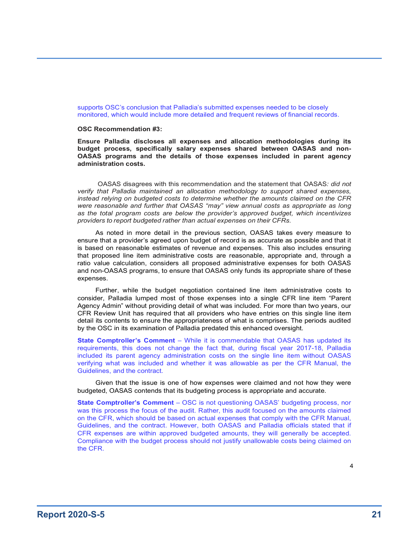supports OSC's conclusion that Palladia's submitted expenses needed to be closely monitored, which would include more detailed and frequent reviews of financial records.

#### **OSC Recommendation #3:**

**Ensure Palladia discloses all expenses and allocation methodologies during its budget process, specifically salary expenses shared between OASAS and non-OASAS programs and the details of those expenses included in parent agency administration costs.**

OASAS disagrees with this recommendation and the statement that OASAS*: did not verify that Palladia maintained an allocation methodology to support shared expenses, instead relying on budgeted costs to determine whether the amounts claimed on the CFR were reasonable and further that OASAS "may" view annual costs as appropriate as long as the total program costs are below the provider's approved budget, which incentivizes providers to report budgeted rather than actual expenses on their CFRs.*

As noted in more detail in the previous section, OASAS takes every measure to ensure that a provider's agreed upon budget of record is as accurate as possible and that it is based on reasonable estimates of revenue and expenses. This also includes ensuring that proposed line item administrative costs are reasonable, appropriate and, through a ratio value calculation, considers all proposed administrative expenses for both OASAS and non-OASAS programs, to ensure that OASAS only funds its appropriate share of these expenses.

Further, while the budget negotiation contained line item administrative costs to consider, Palladia lumped most of those expenses into a single CFR line item "Parent Agency Admin" without providing detail of what was included. For more than two years, our CFR Review Unit has required that all providers who have entries on this single line item detail its contents to ensure the appropriateness of what is comprises. The periods audited by the OSC in its examination of Palladia predated this enhanced oversight.

**State Comptroller's Comment** – While it is commendable that OASAS has updated its requirements, this does not change the fact that, during fiscal year 2017-18, Palladia included its parent agency administration costs on the single line item without OASAS verifying what was included and whether it was allowable as per the CFR Manual, the Guidelines, and the contract.

Given that the issue is one of how expenses were claimed and not how they were budgeted, OASAS contends that its budgeting process is appropriate and accurate.

**State Comptroller's Comment** – OSC is not questioning OASAS' budgeting process, nor was this process the focus of the audit. Rather, this audit focused on the amounts claimed on the CFR, which should be based on actual expenses that comply with the CFR Manual, Guidelines, and the contract. However, both OASAS and Palladia officials stated that if CFR expenses are within approved budgeted amounts, they will generally be accepted. Compliance with the budget process should not justify unallowable costs being claimed on the CFR.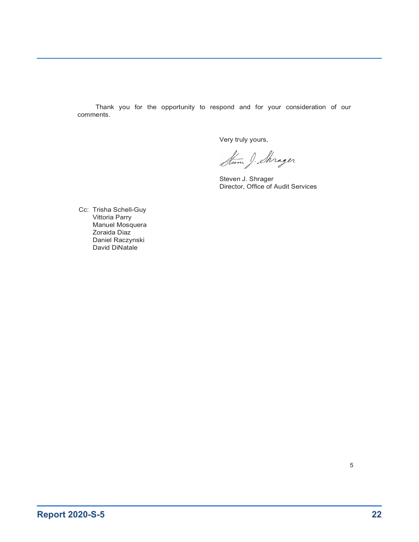Thank you for the opportunity to respond and for your consideration of our comments.

Very truly yours,

Strom J. Shrager

Steven J. Shrager Director, Office of Audit Services

Cc: Trisha Schell-Guy Vittoria Parry Manuel Mosquera Zoraida Diaz Daniel Raczynski David DiNatale